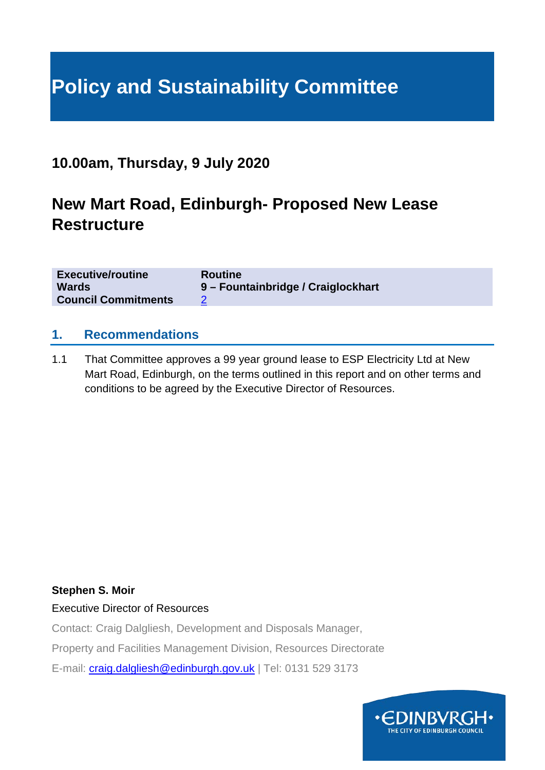# **Policy and Sustainability Committee**

### **10.00am, Thursday, 9 July 2020**

### **New Mart Road, Edinburgh- Proposed New Lease Restructure**

| <b>Executive/routine</b>   | <b>Routine</b>                     |
|----------------------------|------------------------------------|
| <b>Wards</b>               | 9 – Fountainbridge / Craiglockhart |
| <b>Council Commitments</b> |                                    |

#### **1. Recommendations**

1.1 That Committee approves a 99 year ground lease to ESP Electricity Ltd at New Mart Road, Edinburgh, on the terms outlined in this report and on other terms and conditions to be agreed by the Executive Director of Resources.

#### **Stephen S. Moir**

Executive Director of Resources

Contact: Craig Dalgliesh, Development and Disposals Manager,

Property and Facilities Management Division, Resources Directorate

E-mail: [craig.dalgliesh@edinburgh.gov.uk](mailto:craig.dalgliesh@edinburgh.gov.uk) | Tel: 0131 529 3173

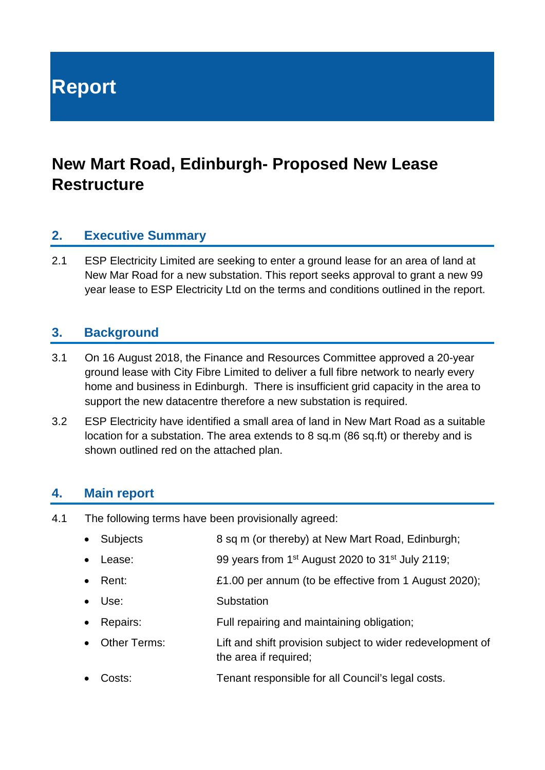**Report**

## **New Mart Road, Edinburgh- Proposed New Lease Restructure**

#### **2. Executive Summary**

2.1 ESP Electricity Limited are seeking to enter a ground lease for an area of land at New Mar Road for a new substation. This report seeks approval to grant a new 99 year lease to ESP Electricity Ltd on the terms and conditions outlined in the report.

#### **3. Background**

- 3.1 On 16 August 2018, the Finance and Resources Committee approved a 20-year ground lease with City Fibre Limited to deliver a full fibre network to nearly every home and business in Edinburgh. There is insufficient grid capacity in the area to support the new datacentre therefore a new substation is required.
- 3.2 ESP Electricity have identified a small area of land in New Mart Road as a suitable location for a substation. The area extends to 8 sq.m (86 sq.ft) or thereby and is shown outlined red on the attached plan.

#### **4. Main report**

- 4.1 The following terms have been provisionally agreed:
	- Subjects 8 sq m (or thereby) at New Mart Road, Edinburgh;
	- Lease: 99 years from 1<sup>st</sup> August 2020 to 31<sup>st</sup> July 2119;
	- Rent: £1.00 per annum (to be effective from 1 August 2020);
	- Use: Substation
	- Repairs: Full repairing and maintaining obligation;
	- Other Terms: Lift and shift provision subject to wider redevelopment of the area if required;
	- Costs: Tenant responsible for all Council's legal costs.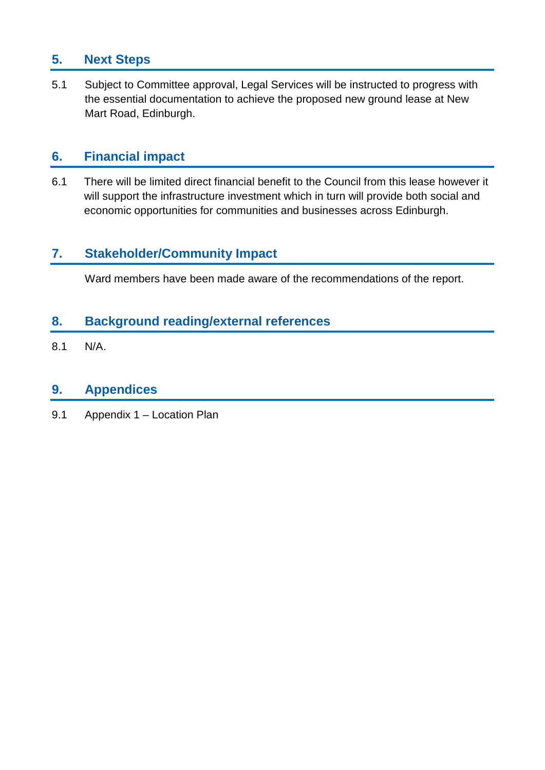### **5. Next Steps**

5.1 Subject to Committee approval, Legal Services will be instructed to progress with the essential documentation to achieve the proposed new ground lease at New Mart Road, Edinburgh.

#### **6. Financial impact**

6.1 There will be limited direct financial benefit to the Council from this lease however it will support the infrastructure investment which in turn will provide both social and economic opportunities for communities and businesses across Edinburgh.

#### **7. Stakeholder/Community Impact**

Ward members have been made aware of the recommendations of the report.

#### **8. Background reading/external references**

8.1 N/A.

#### **9. Appendices**

9.1 Appendix 1 – Location Plan